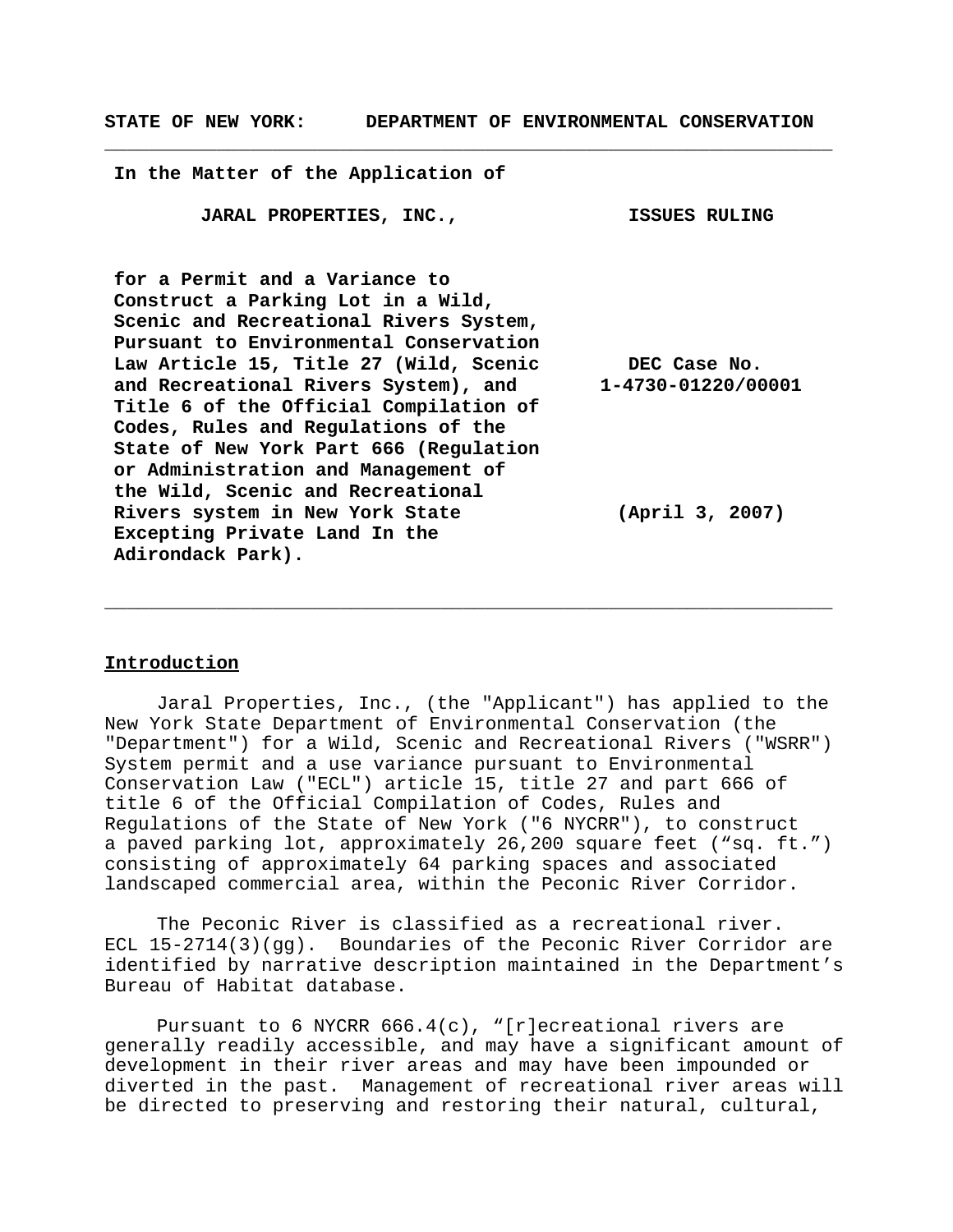**STATE OF NEW YORK: DEPARTMENT OF ENVIRONMENTAL CONSERVATION**

**\_\_\_\_\_\_\_\_\_\_\_\_\_\_\_\_\_\_\_\_\_\_\_\_\_\_\_\_\_\_\_\_\_\_\_\_\_\_\_\_\_\_\_\_\_\_\_\_\_\_\_\_\_\_\_\_\_\_\_\_\_\_\_\_\_**

**In the Matter of the Application of**

**JARAL PROPERTIES, INC., ISSUES RULING**

**for a Permit and a Variance to Construct a Parking Lot in a Wild, Scenic and Recreational Rivers System, Pursuant to Environmental Conservation Law Article 15, Title 27 (Wild, Scenic and Recreational Rivers System), and Title 6 of the Official Compilation of Codes, Rules and Regulations of the State of New York Part 666 (Regulation or Administration and Management of the Wild, Scenic and Recreational Rivers system in New York State Excepting Private Land In the Adirondack Park). DEC Case No. 1-4730-01220/00001 (April 3, 2007)**

# **Introduction**

Jaral Properties, Inc., (the "Applicant") has applied to the New York State Department of Environmental Conservation (the "Department") for a Wild, Scenic and Recreational Rivers ("WSRR") System permit and a use variance pursuant to Environmental Conservation Law ("ECL") article 15, title 27 and part 666 of title 6 of the Official Compilation of Codes, Rules and Regulations of the State of New York ("6 NYCRR"), to construct a paved parking lot, approximately 26,200 square feet ("sq. ft.") consisting of approximately 64 parking spaces and associated landscaped commercial area, within the Peconic River Corridor.

**\_\_\_\_\_\_\_\_\_\_\_\_\_\_\_\_\_\_\_\_\_\_\_\_\_\_\_\_\_\_\_\_\_\_\_\_\_\_\_\_\_\_\_\_\_\_\_\_\_\_\_\_\_\_\_\_\_\_\_\_\_\_\_\_\_**

The Peconic River is classified as a recreational river. ECL 15-2714(3)(gg). Boundaries of the Peconic River Corridor are identified by narrative description maintained in the Department's Bureau of Habitat database.

Pursuant to 6 NYCRR 666.4(c), "[r]ecreational rivers are generally readily accessible, and may have a significant amount of development in their river areas and may have been impounded or diverted in the past. Management of recreational river areas will be directed to preserving and restoring their natural, cultural,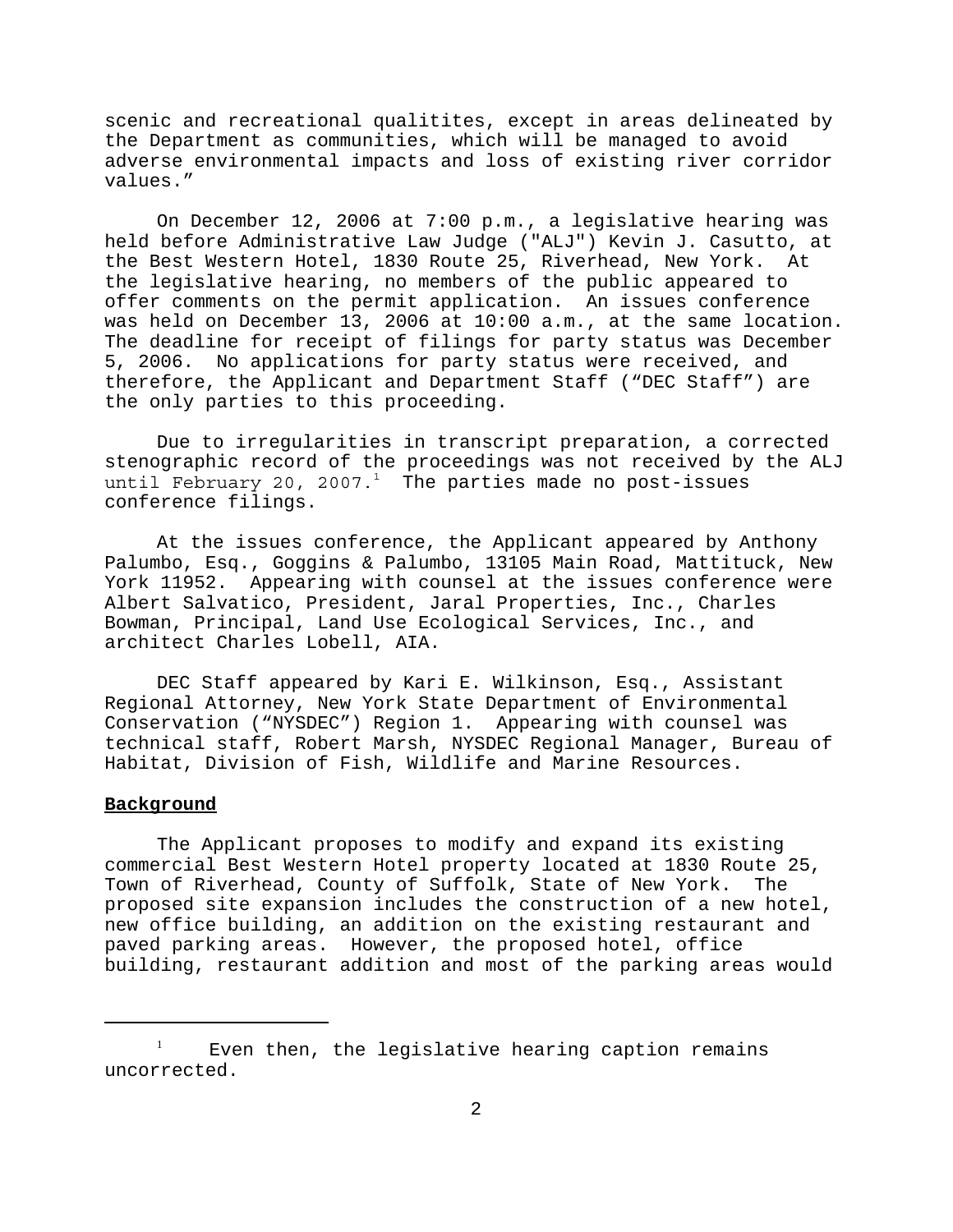scenic and recreational qualitites, except in areas delineated by the Department as communities, which will be managed to avoid adverse environmental impacts and loss of existing river corridor values."

On December 12, 2006 at 7:00 p.m., a legislative hearing was held before Administrative Law Judge ("ALJ") Kevin J. Casutto, at the Best Western Hotel, 1830 Route 25, Riverhead, New York. At the legislative hearing, no members of the public appeared to offer comments on the permit application. An issues conference was held on December 13, 2006 at 10:00 a.m., at the same location. The deadline for receipt of filings for party status was December 5, 2006. No applications for party status were received, and therefore, the Applicant and Department Staff ("DEC Staff") are the only parties to this proceeding.

Due to irregularities in transcript preparation, a corrected stenographic record of the proceedings was not received by the ALJ until February 20, 2007. $^1$  The parties made no post-issues conference filings.

At the issues conference, the Applicant appeared by Anthony Palumbo, Esq., Goggins & Palumbo, 13105 Main Road, Mattituck, New York 11952. Appearing with counsel at the issues conference were Albert Salvatico, President, Jaral Properties, Inc., Charles Bowman, Principal, Land Use Ecological Services, Inc., and architect Charles Lobell, AIA.

DEC Staff appeared by Kari E. Wilkinson, Esq., Assistant Regional Attorney, New York State Department of Environmental Conservation ("NYSDEC") Region 1. Appearing with counsel was technical staff, Robert Marsh, NYSDEC Regional Manager, Bureau of Habitat, Division of Fish, Wildlife and Marine Resources.

#### **Background**

The Applicant proposes to modify and expand its existing commercial Best Western Hotel property located at 1830 Route 25, Town of Riverhead, County of Suffolk, State of New York. The proposed site expansion includes the construction of a new hotel, new office building, an addition on the existing restaurant and paved parking areas. However, the proposed hotel, office building, restaurant addition and most of the parking areas would

Even then, the legislative hearing caption remains uncorrected.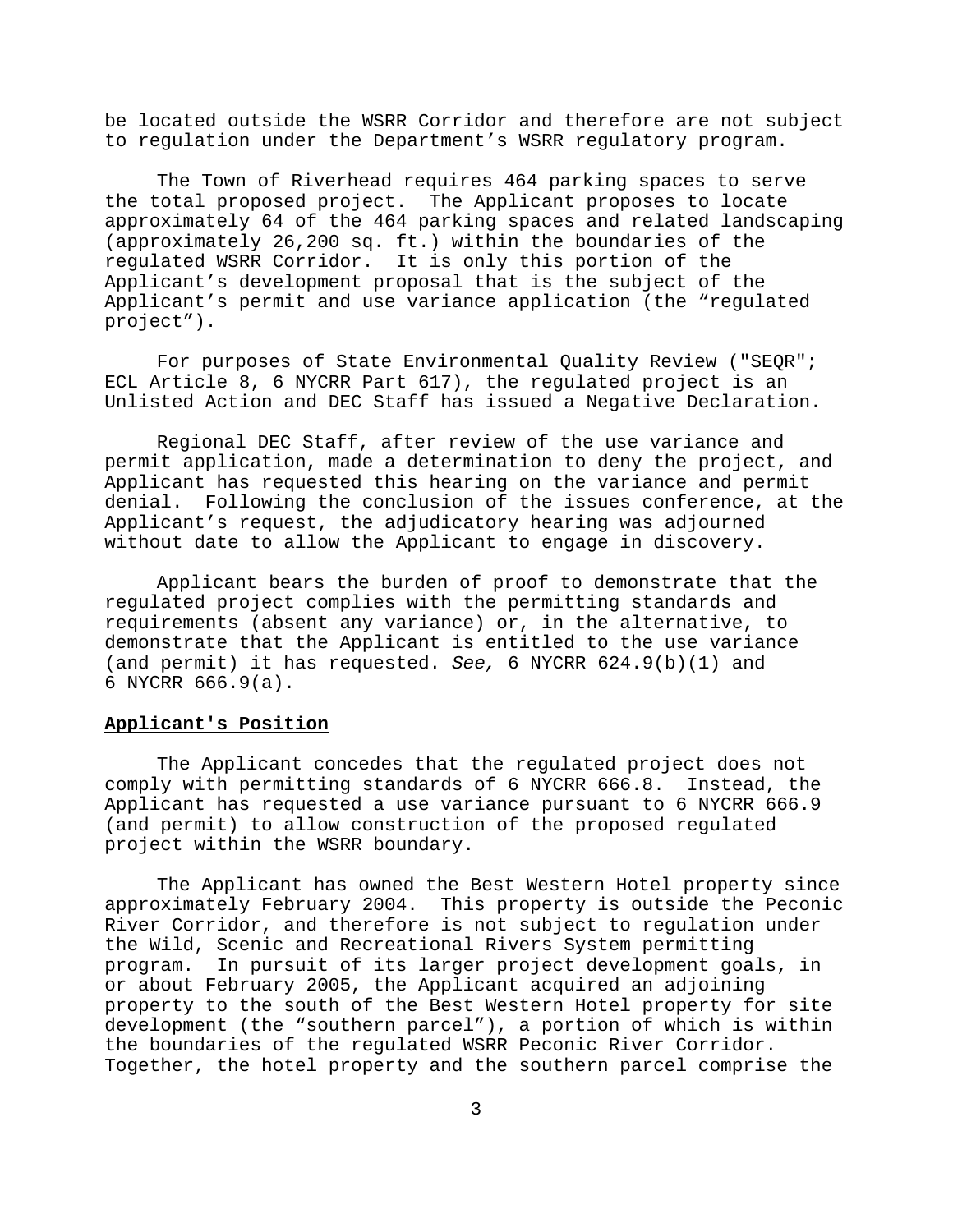be located outside the WSRR Corridor and therefore are not subject to regulation under the Department's WSRR regulatory program.

The Town of Riverhead requires 464 parking spaces to serve the total proposed project. The Applicant proposes to locate approximately 64 of the 464 parking spaces and related landscaping (approximately 26,200 sq. ft.) within the boundaries of the regulated WSRR Corridor. It is only this portion of the Applicant's development proposal that is the subject of the Applicant's permit and use variance application (the "regulated project").

For purposes of State Environmental Quality Review ("SEQR"; ECL Article 8, 6 NYCRR Part 617), the regulated project is an Unlisted Action and DEC Staff has issued a Negative Declaration.

Regional DEC Staff, after review of the use variance and permit application, made a determination to deny the project, and Applicant has requested this hearing on the variance and permit denial. Following the conclusion of the issues conference, at the Applicant's request, the adjudicatory hearing was adjourned without date to allow the Applicant to engage in discovery.

Applicant bears the burden of proof to demonstrate that the regulated project complies with the permitting standards and requirements (absent any variance) or, in the alternative, to demonstrate that the Applicant is entitled to the use variance (and permit) it has requested. *See,* 6 NYCRR 624.9(b)(1) and 6 NYCRR 666.9(a).

#### **Applicant's Position**

The Applicant concedes that the regulated project does not comply with permitting standards of 6 NYCRR 666.8. Instead, the Applicant has requested a use variance pursuant to 6 NYCRR 666.9 (and permit) to allow construction of the proposed regulated project within the WSRR boundary.

The Applicant has owned the Best Western Hotel property since approximately February 2004. This property is outside the Peconic River Corridor, and therefore is not subject to regulation under the Wild, Scenic and Recreational Rivers System permitting program. In pursuit of its larger project development goals, in or about February 2005, the Applicant acquired an adjoining property to the south of the Best Western Hotel property for site development (the "southern parcel"), a portion of which is within the boundaries of the regulated WSRR Peconic River Corridor. Together, the hotel property and the southern parcel comprise the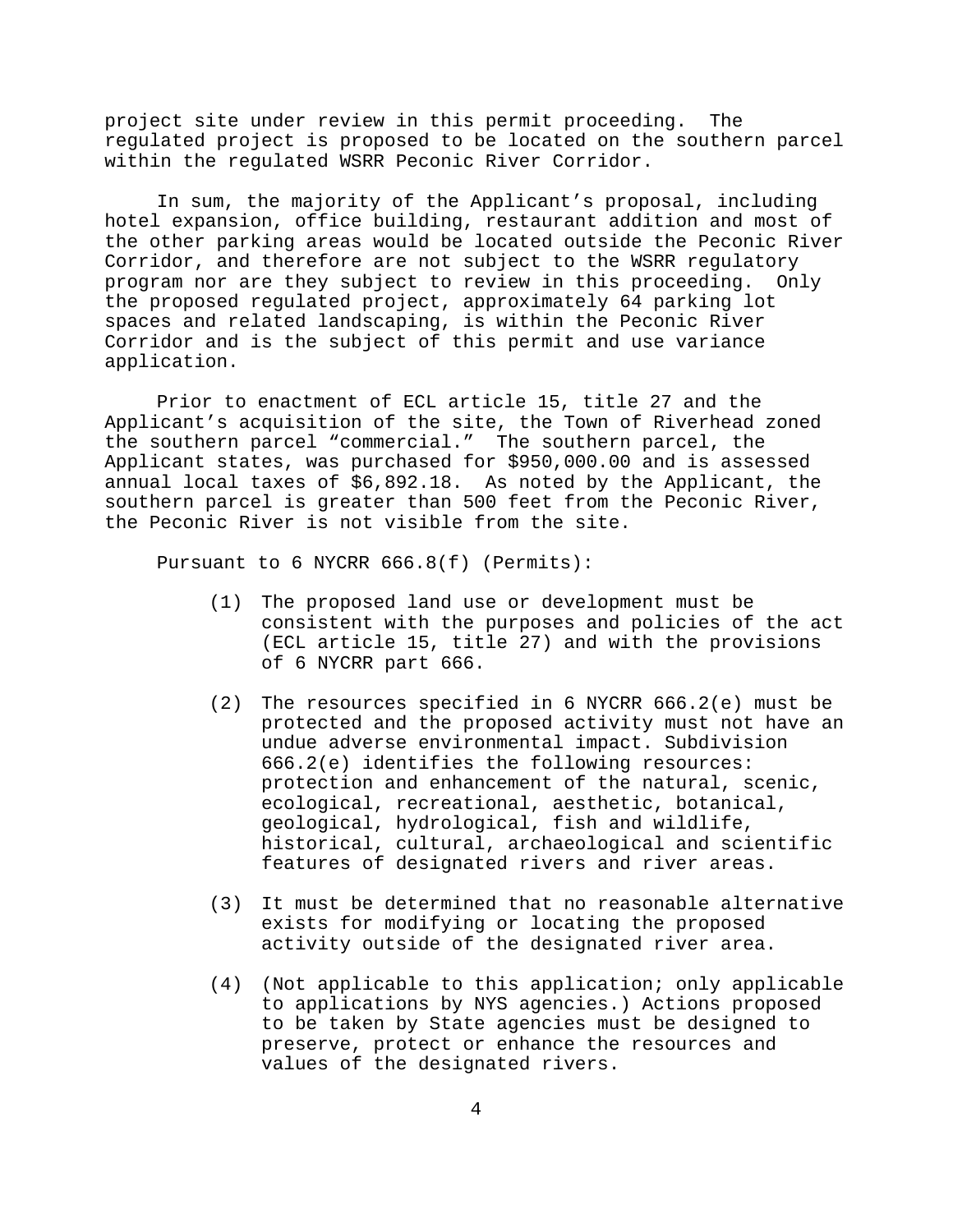project site under review in this permit proceeding. The regulated project is proposed to be located on the southern parcel within the regulated WSRR Peconic River Corridor.

In sum, the majority of the Applicant's proposal, including hotel expansion, office building, restaurant addition and most of the other parking areas would be located outside the Peconic River Corridor, and therefore are not subject to the WSRR regulatory program nor are they subject to review in this proceeding. Only the proposed regulated project, approximately 64 parking lot spaces and related landscaping, is within the Peconic River Corridor and is the subject of this permit and use variance application.

Prior to enactment of ECL article 15, title 27 and the Applicant's acquisition of the site, the Town of Riverhead zoned the southern parcel "commercial." The southern parcel, the Applicant states, was purchased for \$950,000.00 and is assessed annual local taxes of \$6,892.18. As noted by the Applicant, the southern parcel is greater than 500 feet from the Peconic River, the Peconic River is not visible from the site.

Pursuant to 6 NYCRR 666.8(f) (Permits):

- (1) The proposed land use or development must be consistent with the purposes and policies of the act (ECL article 15, title 27) and with the provisions of 6 NYCRR part 666.
- (2) The resources specified in 6 NYCRR 666.2(e) must be protected and the proposed activity must not have an undue adverse environmental impact. Subdivision 666.2(e) identifies the following resources: protection and enhancement of the natural, scenic, ecological, recreational, aesthetic, botanical, geological, hydrological, fish and wildlife, historical, cultural, archaeological and scientific features of designated rivers and river areas.
- (3) It must be determined that no reasonable alternative exists for modifying or locating the proposed activity outside of the designated river area.
- (4) (Not applicable to this application; only applicable to applications by NYS agencies.) Actions proposed to be taken by State agencies must be designed to preserve, protect or enhance the resources and values of the designated rivers.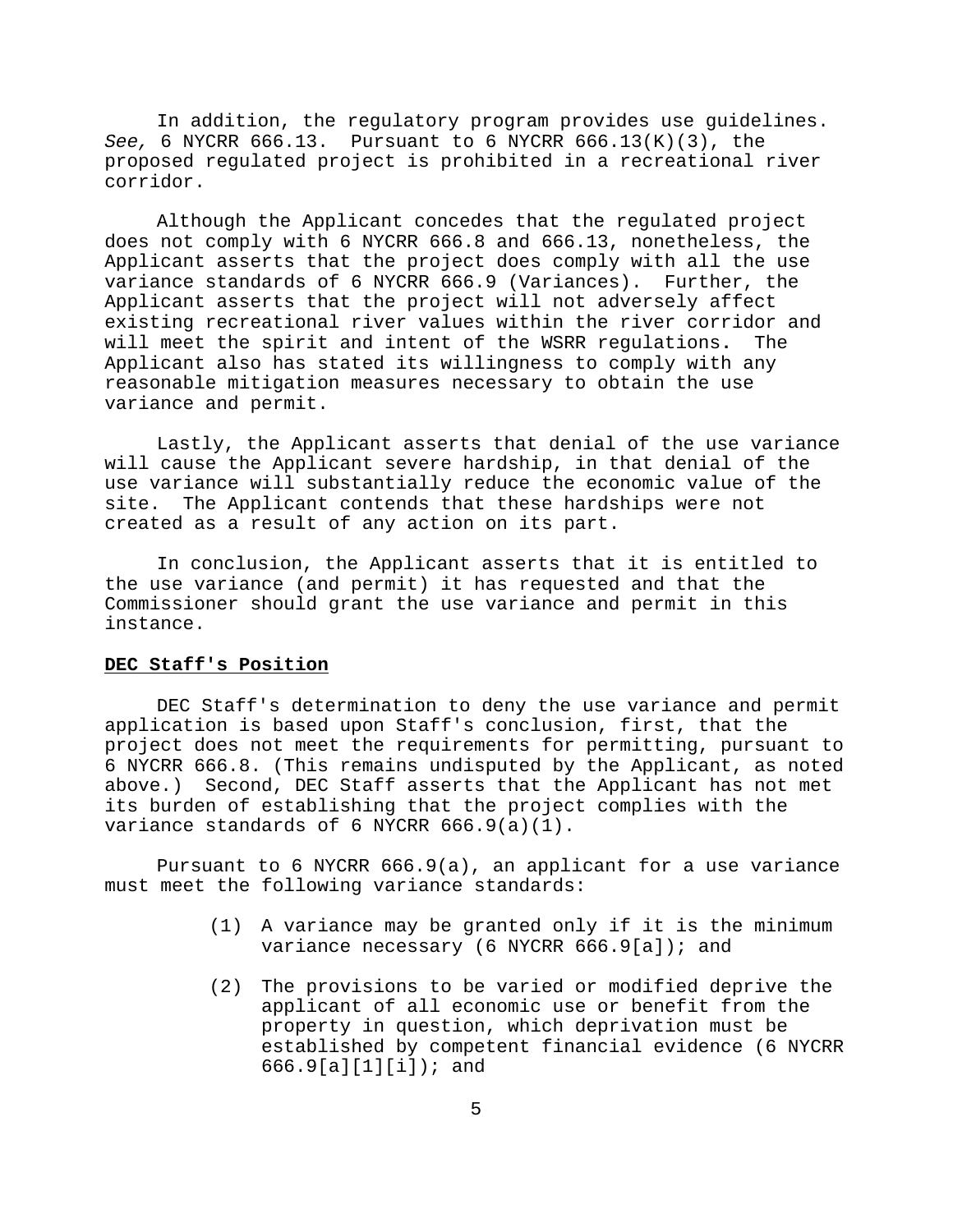In addition, the regulatory program provides use guidelines. *See,* 6 NYCRR 666.13. Pursuant to 6 NYCRR 666.13(K)(3), the proposed regulated project is prohibited in a recreational river corridor.

Although the Applicant concedes that the regulated project does not comply with 6 NYCRR 666.8 and 666.13, nonetheless, the Applicant asserts that the project does comply with all the use variance standards of 6 NYCRR 666.9 (Variances). Further, the Applicant asserts that the project will not adversely affect existing recreational river values within the river corridor and will meet the spirit and intent of the WSRR regulations**.** The Applicant also has stated its willingness to comply with any reasonable mitigation measures necessary to obtain the use variance and permit.

Lastly, the Applicant asserts that denial of the use variance will cause the Applicant severe hardship, in that denial of the use variance will substantially reduce the economic value of the site. The Applicant contends that these hardships were not created as a result of any action on its part.

In conclusion, the Applicant asserts that it is entitled to the use variance (and permit) it has requested and that the Commissioner should grant the use variance and permit in this instance.

# **DEC Staff's Position**

DEC Staff's determination to deny the use variance and permit application is based upon Staff's conclusion, first, that the project does not meet the requirements for permitting, pursuant to 6 NYCRR 666.8. (This remains undisputed by the Applicant, as noted above.) Second, DEC Staff asserts that the Applicant has not met its burden of establishing that the project complies with the variance standards of 6 NYCRR 666.9(a)(1).

Pursuant to 6 NYCRR 666.9(a), an applicant for a use variance must meet the following variance standards:

- (1) A variance may be granted only if it is the minimum variance necessary (6 NYCRR 666.9[a]); and
- (2) The provisions to be varied or modified deprive the applicant of all economic use or benefit from the property in question, which deprivation must be established by competent financial evidence (6 NYCRR 666.9[a][1][i]); and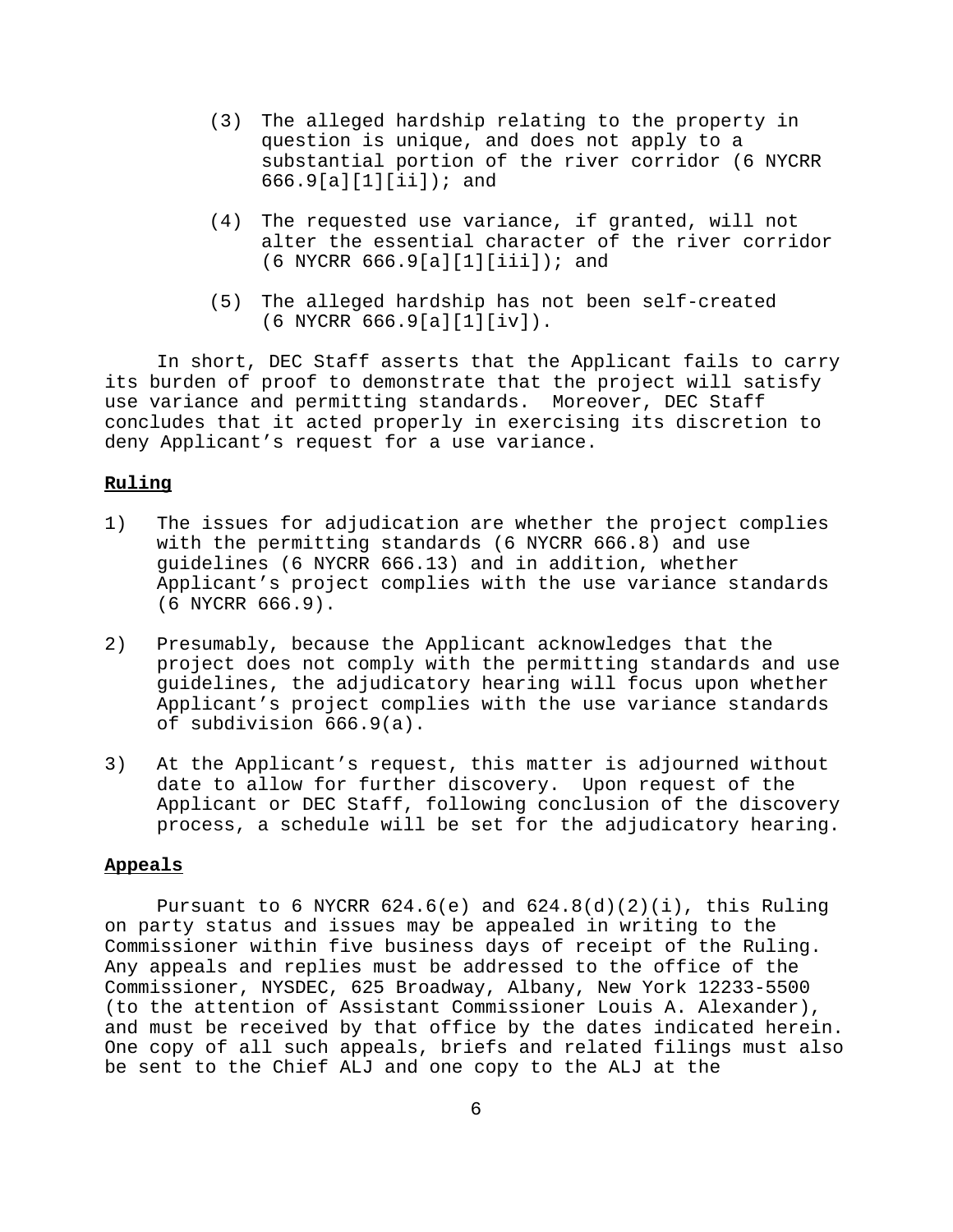- (3) The alleged hardship relating to the property in question is unique, and does not apply to a substantial portion of the river corridor (6 NYCRR 666.9[a][1][ii]); and
- (4) The requested use variance, if granted, will not alter the essential character of the river corridor (6 NYCRR 666.9[a][1][iii]); and
- (5) The alleged hardship has not been self-created (6 NYCRR 666.9[a][1][iv]).

In short, DEC Staff asserts that the Applicant fails to carry its burden of proof to demonstrate that the project will satisfy use variance and permitting standards. Moreover, DEC Staff concludes that it acted properly in exercising its discretion to deny Applicant's request for a use variance.

# **Ruling**

- 1) The issues for adjudication are whether the project complies with the permitting standards (6 NYCRR 666.8) and use guidelines (6 NYCRR 666.13) and in addition, whether Applicant's project complies with the use variance standards (6 NYCRR 666.9).
- 2) Presumably, because the Applicant acknowledges that the project does not comply with the permitting standards and use guidelines, the adjudicatory hearing will focus upon whether Applicant's project complies with the use variance standards of subdivision 666.9(a).
- 3) At the Applicant's request, this matter is adjourned without date to allow for further discovery. Upon request of the Applicant or DEC Staff, following conclusion of the discovery process, a schedule will be set for the adjudicatory hearing.

#### **Appeals**

Pursuant to 6 NYCRR  $624.6(e)$  and  $624.8(d)(2)(i)$ , this Ruling on party status and issues may be appealed in writing to the Commissioner within five business days of receipt of the Ruling. Any appeals and replies must be addressed to the office of the Commissioner, NYSDEC, 625 Broadway, Albany, New York 12233-5500 (to the attention of Assistant Commissioner Louis A. Alexander), and must be received by that office by the dates indicated herein. One copy of all such appeals, briefs and related filings must also be sent to the Chief ALJ and one copy to the ALJ at the